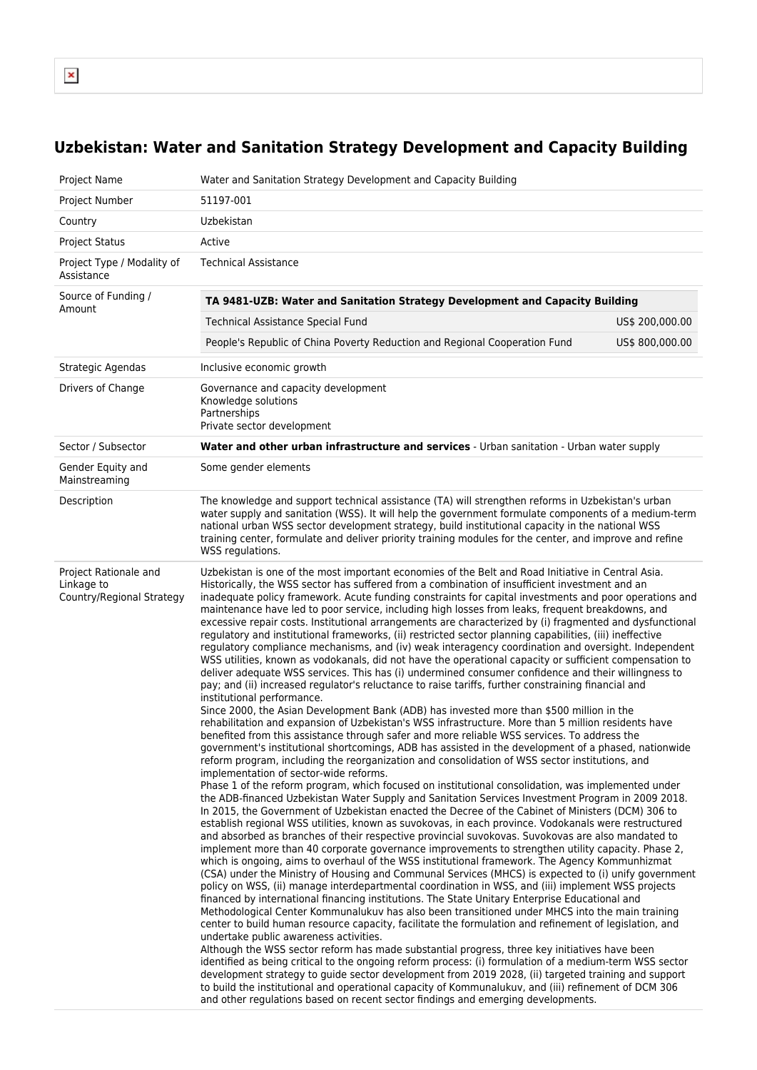$\pmb{\times}$ 

## **Uzbekistan: Water and Sanitation Strategy Development and Capacity Building**

| Project Name                                                     | Water and Sanitation Strategy Development and Capacity Building                                                                                                                                                                                                                                                                                                                                                                                                                                                                                                                                                                                                                                                                                                                                                                                                                                                                                                                                                                                                                                                                                                                                                                                                                                                                                                                                                                                                                                                                                                                                                                                                                                                                                                                                                                                                                                                                                                                                                                                                                                                                                                                                                                                                                                                                                                                                                                                                                                                                                                                                                                                                                                                                                                                                                                                                                                                                                                                                                                                                                                                                                                                                                                                                                                                                                                                                                                                                                          |                 |  |  |  |  |
|------------------------------------------------------------------|------------------------------------------------------------------------------------------------------------------------------------------------------------------------------------------------------------------------------------------------------------------------------------------------------------------------------------------------------------------------------------------------------------------------------------------------------------------------------------------------------------------------------------------------------------------------------------------------------------------------------------------------------------------------------------------------------------------------------------------------------------------------------------------------------------------------------------------------------------------------------------------------------------------------------------------------------------------------------------------------------------------------------------------------------------------------------------------------------------------------------------------------------------------------------------------------------------------------------------------------------------------------------------------------------------------------------------------------------------------------------------------------------------------------------------------------------------------------------------------------------------------------------------------------------------------------------------------------------------------------------------------------------------------------------------------------------------------------------------------------------------------------------------------------------------------------------------------------------------------------------------------------------------------------------------------------------------------------------------------------------------------------------------------------------------------------------------------------------------------------------------------------------------------------------------------------------------------------------------------------------------------------------------------------------------------------------------------------------------------------------------------------------------------------------------------------------------------------------------------------------------------------------------------------------------------------------------------------------------------------------------------------------------------------------------------------------------------------------------------------------------------------------------------------------------------------------------------------------------------------------------------------------------------------------------------------------------------------------------------------------------------------------------------------------------------------------------------------------------------------------------------------------------------------------------------------------------------------------------------------------------------------------------------------------------------------------------------------------------------------------------------------------------------------------------------------------------------------------------------|-----------------|--|--|--|--|
| Project Number                                                   | 51197-001                                                                                                                                                                                                                                                                                                                                                                                                                                                                                                                                                                                                                                                                                                                                                                                                                                                                                                                                                                                                                                                                                                                                                                                                                                                                                                                                                                                                                                                                                                                                                                                                                                                                                                                                                                                                                                                                                                                                                                                                                                                                                                                                                                                                                                                                                                                                                                                                                                                                                                                                                                                                                                                                                                                                                                                                                                                                                                                                                                                                                                                                                                                                                                                                                                                                                                                                                                                                                                                                                |                 |  |  |  |  |
| Country                                                          | Uzbekistan                                                                                                                                                                                                                                                                                                                                                                                                                                                                                                                                                                                                                                                                                                                                                                                                                                                                                                                                                                                                                                                                                                                                                                                                                                                                                                                                                                                                                                                                                                                                                                                                                                                                                                                                                                                                                                                                                                                                                                                                                                                                                                                                                                                                                                                                                                                                                                                                                                                                                                                                                                                                                                                                                                                                                                                                                                                                                                                                                                                                                                                                                                                                                                                                                                                                                                                                                                                                                                                                               |                 |  |  |  |  |
| <b>Project Status</b>                                            | Active                                                                                                                                                                                                                                                                                                                                                                                                                                                                                                                                                                                                                                                                                                                                                                                                                                                                                                                                                                                                                                                                                                                                                                                                                                                                                                                                                                                                                                                                                                                                                                                                                                                                                                                                                                                                                                                                                                                                                                                                                                                                                                                                                                                                                                                                                                                                                                                                                                                                                                                                                                                                                                                                                                                                                                                                                                                                                                                                                                                                                                                                                                                                                                                                                                                                                                                                                                                                                                                                                   |                 |  |  |  |  |
| Project Type / Modality of<br>Assistance                         | <b>Technical Assistance</b>                                                                                                                                                                                                                                                                                                                                                                                                                                                                                                                                                                                                                                                                                                                                                                                                                                                                                                                                                                                                                                                                                                                                                                                                                                                                                                                                                                                                                                                                                                                                                                                                                                                                                                                                                                                                                                                                                                                                                                                                                                                                                                                                                                                                                                                                                                                                                                                                                                                                                                                                                                                                                                                                                                                                                                                                                                                                                                                                                                                                                                                                                                                                                                                                                                                                                                                                                                                                                                                              |                 |  |  |  |  |
| Source of Funding /<br>Amount                                    | TA 9481-UZB: Water and Sanitation Strategy Development and Capacity Building                                                                                                                                                                                                                                                                                                                                                                                                                                                                                                                                                                                                                                                                                                                                                                                                                                                                                                                                                                                                                                                                                                                                                                                                                                                                                                                                                                                                                                                                                                                                                                                                                                                                                                                                                                                                                                                                                                                                                                                                                                                                                                                                                                                                                                                                                                                                                                                                                                                                                                                                                                                                                                                                                                                                                                                                                                                                                                                                                                                                                                                                                                                                                                                                                                                                                                                                                                                                             |                 |  |  |  |  |
|                                                                  | Technical Assistance Special Fund<br>US\$ 200,000.00                                                                                                                                                                                                                                                                                                                                                                                                                                                                                                                                                                                                                                                                                                                                                                                                                                                                                                                                                                                                                                                                                                                                                                                                                                                                                                                                                                                                                                                                                                                                                                                                                                                                                                                                                                                                                                                                                                                                                                                                                                                                                                                                                                                                                                                                                                                                                                                                                                                                                                                                                                                                                                                                                                                                                                                                                                                                                                                                                                                                                                                                                                                                                                                                                                                                                                                                                                                                                                     |                 |  |  |  |  |
|                                                                  | People's Republic of China Poverty Reduction and Regional Cooperation Fund                                                                                                                                                                                                                                                                                                                                                                                                                                                                                                                                                                                                                                                                                                                                                                                                                                                                                                                                                                                                                                                                                                                                                                                                                                                                                                                                                                                                                                                                                                                                                                                                                                                                                                                                                                                                                                                                                                                                                                                                                                                                                                                                                                                                                                                                                                                                                                                                                                                                                                                                                                                                                                                                                                                                                                                                                                                                                                                                                                                                                                                                                                                                                                                                                                                                                                                                                                                                               | US\$ 800,000.00 |  |  |  |  |
| Strategic Agendas                                                | Inclusive economic growth                                                                                                                                                                                                                                                                                                                                                                                                                                                                                                                                                                                                                                                                                                                                                                                                                                                                                                                                                                                                                                                                                                                                                                                                                                                                                                                                                                                                                                                                                                                                                                                                                                                                                                                                                                                                                                                                                                                                                                                                                                                                                                                                                                                                                                                                                                                                                                                                                                                                                                                                                                                                                                                                                                                                                                                                                                                                                                                                                                                                                                                                                                                                                                                                                                                                                                                                                                                                                                                                |                 |  |  |  |  |
| Drivers of Change                                                | Governance and capacity development<br>Knowledge solutions<br>Partnerships<br>Private sector development                                                                                                                                                                                                                                                                                                                                                                                                                                                                                                                                                                                                                                                                                                                                                                                                                                                                                                                                                                                                                                                                                                                                                                                                                                                                                                                                                                                                                                                                                                                                                                                                                                                                                                                                                                                                                                                                                                                                                                                                                                                                                                                                                                                                                                                                                                                                                                                                                                                                                                                                                                                                                                                                                                                                                                                                                                                                                                                                                                                                                                                                                                                                                                                                                                                                                                                                                                                 |                 |  |  |  |  |
| Sector / Subsector                                               | Water and other urban infrastructure and services - Urban sanitation - Urban water supply                                                                                                                                                                                                                                                                                                                                                                                                                                                                                                                                                                                                                                                                                                                                                                                                                                                                                                                                                                                                                                                                                                                                                                                                                                                                                                                                                                                                                                                                                                                                                                                                                                                                                                                                                                                                                                                                                                                                                                                                                                                                                                                                                                                                                                                                                                                                                                                                                                                                                                                                                                                                                                                                                                                                                                                                                                                                                                                                                                                                                                                                                                                                                                                                                                                                                                                                                                                                |                 |  |  |  |  |
| Gender Equity and<br>Mainstreaming                               | Some gender elements                                                                                                                                                                                                                                                                                                                                                                                                                                                                                                                                                                                                                                                                                                                                                                                                                                                                                                                                                                                                                                                                                                                                                                                                                                                                                                                                                                                                                                                                                                                                                                                                                                                                                                                                                                                                                                                                                                                                                                                                                                                                                                                                                                                                                                                                                                                                                                                                                                                                                                                                                                                                                                                                                                                                                                                                                                                                                                                                                                                                                                                                                                                                                                                                                                                                                                                                                                                                                                                                     |                 |  |  |  |  |
| Description                                                      | The knowledge and support technical assistance (TA) will strengthen reforms in Uzbekistan's urban<br>water supply and sanitation (WSS). It will help the government formulate components of a medium-term<br>national urban WSS sector development strategy, build institutional capacity in the national WSS<br>training center, formulate and deliver priority training modules for the center, and improve and refine<br>WSS regulations.                                                                                                                                                                                                                                                                                                                                                                                                                                                                                                                                                                                                                                                                                                                                                                                                                                                                                                                                                                                                                                                                                                                                                                                                                                                                                                                                                                                                                                                                                                                                                                                                                                                                                                                                                                                                                                                                                                                                                                                                                                                                                                                                                                                                                                                                                                                                                                                                                                                                                                                                                                                                                                                                                                                                                                                                                                                                                                                                                                                                                                             |                 |  |  |  |  |
| Project Rationale and<br>Linkage to<br>Country/Regional Strategy | Uzbekistan is one of the most important economies of the Belt and Road Initiative in Central Asia.<br>Historically, the WSS sector has suffered from a combination of insufficient investment and an<br>inadequate policy framework. Acute funding constraints for capital investments and poor operations and<br>maintenance have led to poor service, including high losses from leaks, frequent breakdowns, and<br>excessive repair costs. Institutional arrangements are characterized by (i) fragmented and dysfunctional<br>regulatory and institutional frameworks, (ii) restricted sector planning capabilities, (iii) ineffective<br>regulatory compliance mechanisms, and (iv) weak interagency coordination and oversight. Independent<br>WSS utilities, known as vodokanals, did not have the operational capacity or sufficient compensation to<br>deliver adequate WSS services. This has (i) undermined consumer confidence and their willingness to<br>pay; and (ii) increased regulator's reluctance to raise tariffs, further constraining financial and<br>institutional performance.<br>Since 2000, the Asian Development Bank (ADB) has invested more than \$500 million in the<br>rehabilitation and expansion of Uzbekistan's WSS infrastructure. More than 5 million residents have<br>benefited from this assistance through safer and more reliable WSS services. To address the<br>government's institutional shortcomings, ADB has assisted in the development of a phased, nationwide<br>reform program, including the reorganization and consolidation of WSS sector institutions, and<br>implementation of sector-wide reforms.<br>Phase 1 of the reform program, which focused on institutional consolidation, was implemented under<br>the ADB-financed Uzbekistan Water Supply and Sanitation Services Investment Program in 2009 2018.<br>In 2015, the Government of Uzbekistan enacted the Decree of the Cabinet of Ministers (DCM) 306 to<br>establish regional WSS utilities, known as suvokovas, in each province. Vodokanals were restructured<br>and absorbed as branches of their respective provincial suvokovas. Suvokovas are also mandated to<br>implement more than 40 corporate governance improvements to strengthen utility capacity. Phase 2,<br>which is ongoing, aims to overhaul of the WSS institutional framework. The Agency Kommunhizmat<br>(CSA) under the Ministry of Housing and Communal Services (MHCS) is expected to (i) unify government<br>policy on WSS, (ii) manage interdepartmental coordination in WSS, and (iii) implement WSS projects<br>financed by international financing institutions. The State Unitary Enterprise Educational and<br>Methodological Center Kommunalukuv has also been transitioned under MHCS into the main training<br>center to build human resource capacity, facilitate the formulation and refinement of legislation, and<br>undertake public awareness activities.<br>Although the WSS sector reform has made substantial progress, three key initiatives have been<br>identified as being critical to the ongoing reform process: (i) formulation of a medium-term WSS sector<br>development strategy to guide sector development from 2019 2028, (ii) targeted training and support<br>to build the institutional and operational capacity of Kommunalukuv, and (iii) refinement of DCM 306<br>and other regulations based on recent sector findings and emerging developments. |                 |  |  |  |  |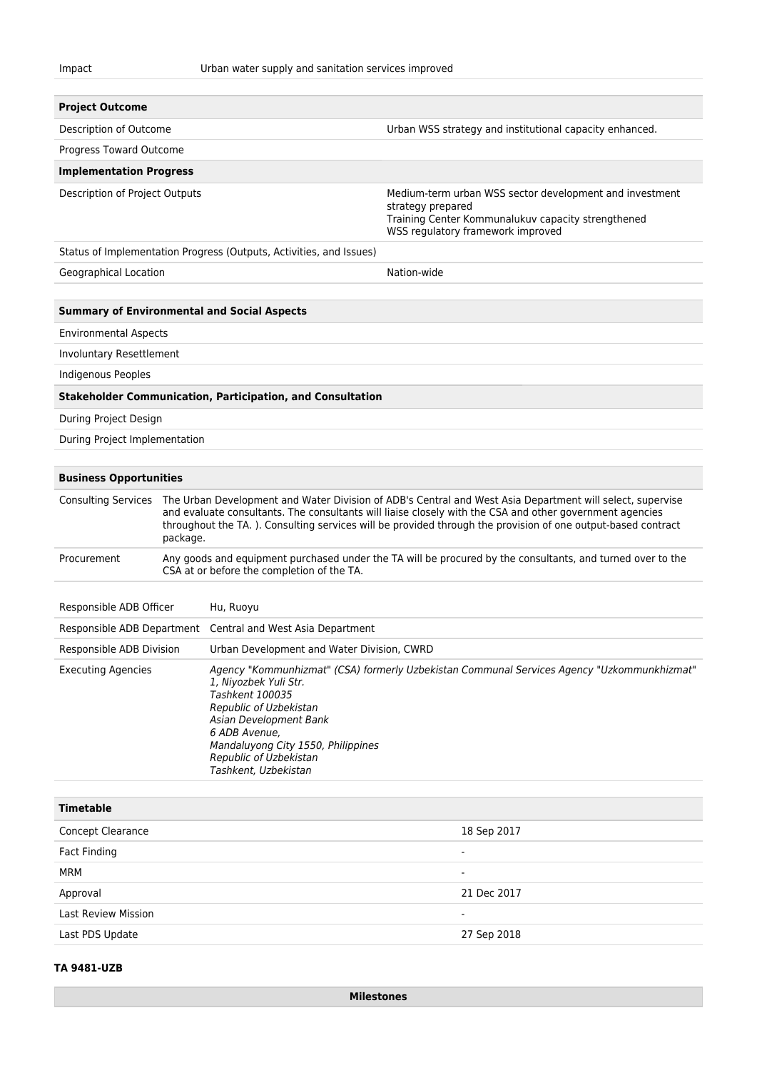| <b>Project Outcome</b><br>Description of Outcome                 |                                                                                                                                                                                                                                                                                                                                                                       |                                                                                                                                                                                                                                                                                                     | Urban WSS strategy and institutional capacity enhanced.                                                                                                                 |  |  |  |
|------------------------------------------------------------------|-----------------------------------------------------------------------------------------------------------------------------------------------------------------------------------------------------------------------------------------------------------------------------------------------------------------------------------------------------------------------|-----------------------------------------------------------------------------------------------------------------------------------------------------------------------------------------------------------------------------------------------------------------------------------------------------|-------------------------------------------------------------------------------------------------------------------------------------------------------------------------|--|--|--|
| Progress Toward Outcome                                          |                                                                                                                                                                                                                                                                                                                                                                       |                                                                                                                                                                                                                                                                                                     |                                                                                                                                                                         |  |  |  |
|                                                                  |                                                                                                                                                                                                                                                                                                                                                                       |                                                                                                                                                                                                                                                                                                     |                                                                                                                                                                         |  |  |  |
| <b>Implementation Progress</b><br>Description of Project Outputs |                                                                                                                                                                                                                                                                                                                                                                       |                                                                                                                                                                                                                                                                                                     | Medium-term urban WSS sector development and investment<br>strategy prepared<br>Training Center Kommunalukuv capacity strengthened<br>WSS regulatory framework improved |  |  |  |
|                                                                  |                                                                                                                                                                                                                                                                                                                                                                       | Status of Implementation Progress (Outputs, Activities, and Issues)                                                                                                                                                                                                                                 |                                                                                                                                                                         |  |  |  |
| Geographical Location                                            |                                                                                                                                                                                                                                                                                                                                                                       |                                                                                                                                                                                                                                                                                                     | Nation-wide                                                                                                                                                             |  |  |  |
|                                                                  |                                                                                                                                                                                                                                                                                                                                                                       |                                                                                                                                                                                                                                                                                                     |                                                                                                                                                                         |  |  |  |
|                                                                  |                                                                                                                                                                                                                                                                                                                                                                       | <b>Summary of Environmental and Social Aspects</b>                                                                                                                                                                                                                                                  |                                                                                                                                                                         |  |  |  |
| <b>Environmental Aspects</b>                                     |                                                                                                                                                                                                                                                                                                                                                                       |                                                                                                                                                                                                                                                                                                     |                                                                                                                                                                         |  |  |  |
| Involuntary Resettlement                                         |                                                                                                                                                                                                                                                                                                                                                                       |                                                                                                                                                                                                                                                                                                     |                                                                                                                                                                         |  |  |  |
| <b>Indigenous Peoples</b>                                        |                                                                                                                                                                                                                                                                                                                                                                       |                                                                                                                                                                                                                                                                                                     |                                                                                                                                                                         |  |  |  |
|                                                                  |                                                                                                                                                                                                                                                                                                                                                                       | <b>Stakeholder Communication, Participation, and Consultation</b>                                                                                                                                                                                                                                   |                                                                                                                                                                         |  |  |  |
| During Project Design                                            |                                                                                                                                                                                                                                                                                                                                                                       |                                                                                                                                                                                                                                                                                                     |                                                                                                                                                                         |  |  |  |
| During Project Implementation                                    |                                                                                                                                                                                                                                                                                                                                                                       |                                                                                                                                                                                                                                                                                                     |                                                                                                                                                                         |  |  |  |
|                                                                  |                                                                                                                                                                                                                                                                                                                                                                       |                                                                                                                                                                                                                                                                                                     |                                                                                                                                                                         |  |  |  |
| <b>Business Opportunities</b>                                    |                                                                                                                                                                                                                                                                                                                                                                       |                                                                                                                                                                                                                                                                                                     |                                                                                                                                                                         |  |  |  |
|                                                                  | Consulting Services The Urban Development and Water Division of ADB's Central and West Asia Department will select, supervise<br>and evaluate consultants. The consultants will liaise closely with the CSA and other government agencies<br>throughout the TA.). Consulting services will be provided through the provision of one output-based contract<br>package. |                                                                                                                                                                                                                                                                                                     |                                                                                                                                                                         |  |  |  |
| Procurement                                                      | Any goods and equipment purchased under the TA will be procured by the consultants, and turned over to the<br>CSA at or before the completion of the TA.                                                                                                                                                                                                              |                                                                                                                                                                                                                                                                                                     |                                                                                                                                                                         |  |  |  |
|                                                                  |                                                                                                                                                                                                                                                                                                                                                                       |                                                                                                                                                                                                                                                                                                     |                                                                                                                                                                         |  |  |  |
| Responsible ADB Officer                                          |                                                                                                                                                                                                                                                                                                                                                                       | Hu, Ruoyu                                                                                                                                                                                                                                                                                           |                                                                                                                                                                         |  |  |  |
| Responsible ADB Department                                       |                                                                                                                                                                                                                                                                                                                                                                       | Central and West Asia Department                                                                                                                                                                                                                                                                    |                                                                                                                                                                         |  |  |  |
| Responsible ADB Division                                         |                                                                                                                                                                                                                                                                                                                                                                       | Urban Development and Water Division, CWRD                                                                                                                                                                                                                                                          |                                                                                                                                                                         |  |  |  |
| <b>Executing Agencies</b>                                        |                                                                                                                                                                                                                                                                                                                                                                       | Agency "Kommunhizmat" (CSA) formerly Uzbekistan Communal Services Agency "Uzkommunkhizmat"<br>1, Niyozbek Yuli Str.<br>Tashkent 100035<br>Republic of Uzbekistan<br>Asian Development Bank<br>6 ADB Avenue,<br>Mandaluyong City 1550, Philippines<br>Republic of Uzbekistan<br>Tashkent, Uzbekistan |                                                                                                                                                                         |  |  |  |
| <b>Timetable</b>                                                 |                                                                                                                                                                                                                                                                                                                                                                       |                                                                                                                                                                                                                                                                                                     |                                                                                                                                                                         |  |  |  |
| Concept Clearance                                                |                                                                                                                                                                                                                                                                                                                                                                       |                                                                                                                                                                                                                                                                                                     | 18 Sep 2017                                                                                                                                                             |  |  |  |
| <b>Fact Finding</b>                                              |                                                                                                                                                                                                                                                                                                                                                                       |                                                                                                                                                                                                                                                                                                     |                                                                                                                                                                         |  |  |  |
| <b>MRM</b>                                                       |                                                                                                                                                                                                                                                                                                                                                                       |                                                                                                                                                                                                                                                                                                     |                                                                                                                                                                         |  |  |  |
| Approval                                                         |                                                                                                                                                                                                                                                                                                                                                                       |                                                                                                                                                                                                                                                                                                     | 21 Dec 2017                                                                                                                                                             |  |  |  |
| <b>Last Review Mission</b>                                       |                                                                                                                                                                                                                                                                                                                                                                       |                                                                                                                                                                                                                                                                                                     |                                                                                                                                                                         |  |  |  |
| Last PDS Update                                                  |                                                                                                                                                                                                                                                                                                                                                                       |                                                                                                                                                                                                                                                                                                     | 27 Sep 2018                                                                                                                                                             |  |  |  |

## **TA 9481-UZB**

**Milestones**